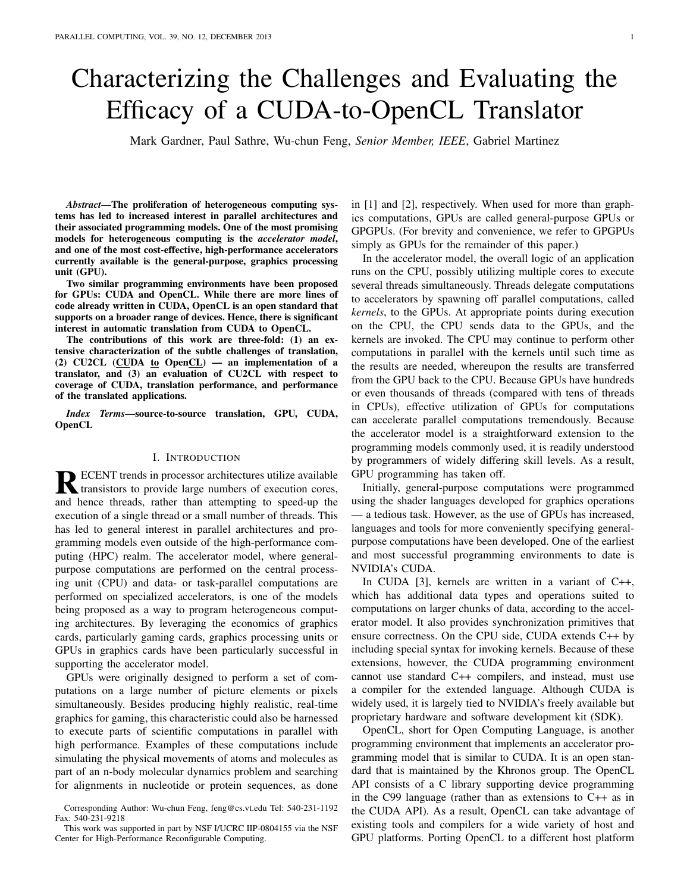# Characterizing the Challenges and Evaluating the Efficacy of a CUDA-to-OpenCL Translator

Mark Gardner, Paul Sathre, Wu-chun Feng, *Senior Member, IEEE*, Gabriel Martinez

*Abstract*—The proliferation of heterogeneous computing systems has led to increased interest in parallel architectures and their associated programming models. One of the most promising models for heterogeneous computing is the *accelerator model*, and one of the most cost-effective, high-performance accelerators currently available is the general-purpose, graphics processing unit (GPU).

Two similar programming environments have been proposed for GPUs: CUDA and OpenCL. While there are more lines of code already written in CUDA, OpenCL is an open standard that supports on a broader range of devices. Hence, there is significant interest in automatic translation from CUDA to OpenCL.

The contributions of this work are three-fold: (1) an extensive characterization of the subtle challenges of translation, (2) CU2CL (CUDA to OpenCL) — an implementation of a translator, and (3) an evaluation of CU2CL with respect to coverage of CUDA, translation performance, and performance of the translated applications.

*Index Terms*—source-to-source translation, GPU, CUDA, **OpenCL** 

#### I. INTRODUCTION

R ECENT trends in processor architectures utilize available<br>transistors to provide large numbers of execution cores, ECENT trends in processor architectures utilize available and hence threads, rather than attempting to speed-up the execution of a single thread or a small number of threads. This has led to general interest in parallel architectures and programming models even outside of the high-performance computing (HPC) realm. The accelerator model, where generalpurpose computations are performed on the central processing unit (CPU) and data- or task-parallel computations are performed on specialized accelerators, is one of the models being proposed as a way to program heterogeneous computing architectures. By leveraging the economics of graphics cards, particularly gaming cards, graphics processing units or GPUs in graphics cards have been particularly successful in supporting the accelerator model.

GPUs were originally designed to perform a set of computations on a large number of picture elements or pixels simultaneously. Besides producing highly realistic, real-time graphics for gaming, this characteristic could also be harnessed to execute parts of scientific computations in parallel with high performance. Examples of these computations include simulating the physical movements of atoms and molecules as part of an n-body molecular dynamics problem and searching for alignments in nucleotide or protein sequences, as done

This work was supported in part by NSF I/UCRC IIP-0804155 via the NSF Center for High-Performance Reconfigurable Computing.

in [1] and [2], respectively. When used for more than graphics computations, GPUs are called general-purpose GPUs or GPGPUs. (For brevity and convenience, we refer to GPGPUs simply as GPUs for the remainder of this paper.)

In the accelerator model, the overall logic of an application runs on the CPU, possibly utilizing multiple cores to execute several threads simultaneously. Threads delegate computations to accelerators by spawning off parallel computations, called *kernels*, to the GPUs. At appropriate points during execution on the CPU, the CPU sends data to the GPUs, and the kernels are invoked. The CPU may continue to perform other computations in parallel with the kernels until such time as the results are needed, whereupon the results are transferred from the GPU back to the CPU. Because GPUs have hundreds or even thousands of threads (compared with tens of threads in CPUs), effective utilization of GPUs for computations can accelerate parallel computations tremendously. Because the accelerator model is a straightforward extension to the programming models commonly used, it is readily understood by programmers of widely differing skill levels. As a result, GPU programming has taken off.

Initially, general-purpose computations were programmed using the shader languages developed for graphics operations — a tedious task. However, as the use of GPUs has increased, languages and tools for more conveniently specifying generalpurpose computations have been developed. One of the earliest and most successful programming environments to date is NVIDIA's CUDA.

In CUDA [3], kernels are written in a variant of C++, which has additional data types and operations suited to computations on larger chunks of data, according to the accelerator model. It also provides synchronization primitives that ensure correctness. On the CPU side, CUDA extends C++ by including special syntax for invoking kernels. Because of these extensions, however, the CUDA programming environment cannot use standard C++ compilers, and instead, must use a compiler for the extended language. Although CUDA is widely used, it is largely tied to NVIDIA's freely available but proprietary hardware and software development kit (SDK).

OpenCL, short for Open Computing Language, is another programming environment that implements an accelerator programming model that is similar to CUDA. It is an open standard that is maintained by the Khronos group. The OpenCL API consists of a C library supporting device programming in the C99 language (rather than as extensions to C++ as in the CUDA API). As a result, OpenCL can take advantage of existing tools and compilers for a wide variety of host and GPU platforms. Porting OpenCL to a different host platform

Corresponding Author: Wu-chun Feng, feng@cs.vt.edu Tel: 540-231-1192 Fax: 540-231-9218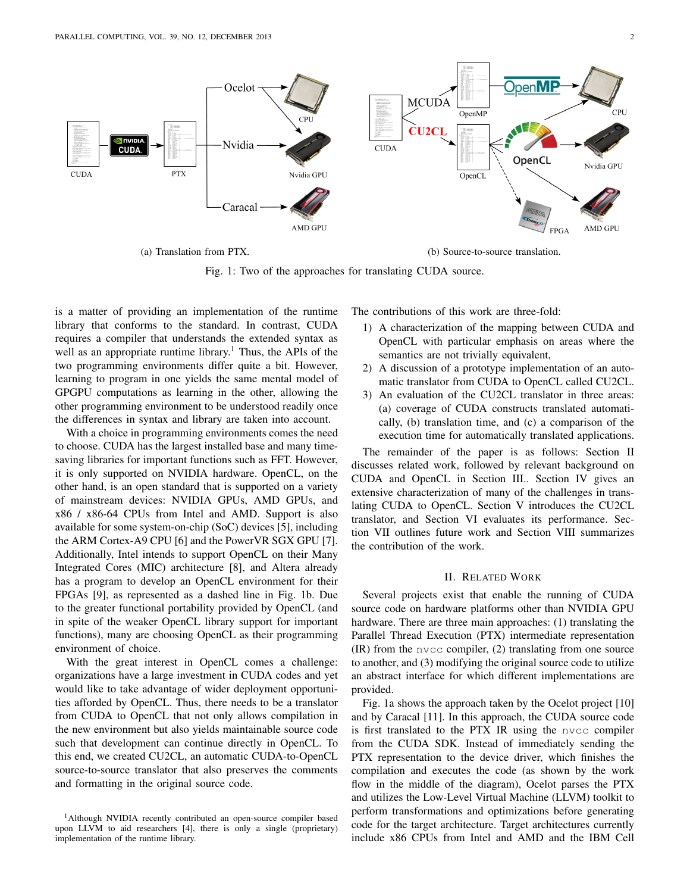

(a) Translation from PTX. (b) Source-to-source translation.

Fig. 1: Two of the approaches for translating CUDA source.

is a matter of providing an implementation of the runtime library that conforms to the standard. In contrast, CUDA requires a compiler that understands the extended syntax as well as an appropriate runtime library.<sup>1</sup> Thus, the APIs of the two programming environments differ quite a bit. However, learning to program in one yields the same mental model of GPGPU computations as learning in the other, allowing the other programming environment to be understood readily once the differences in syntax and library are taken into account.

With a choice in programming environments comes the need to choose. CUDA has the largest installed base and many timesaving libraries for important functions such as FFT. However, it is only supported on NVIDIA hardware. OpenCL, on the other hand, is an open standard that is supported on a variety of mainstream devices: NVIDIA GPUs, AMD GPUs, and x86 / x86-64 CPUs from Intel and AMD. Support is also available for some system-on-chip (SoC) devices [5], including the ARM Cortex-A9 CPU [6] and the PowerVR SGX GPU [7]. Additionally, Intel intends to support OpenCL on their Many Integrated Cores (MIC) architecture [8], and Altera already has a program to develop an OpenCL environment for their FPGAs [9], as represented as a dashed line in Fig. 1b. Due to the greater functional portability provided by OpenCL (and in spite of the weaker OpenCL library support for important functions), many are choosing OpenCL as their programming environment of choice.

With the great interest in OpenCL comes a challenge: organizations have a large investment in CUDA codes and yet would like to take advantage of wider deployment opportunities afforded by OpenCL. Thus, there needs to be a translator from CUDA to OpenCL that not only allows compilation in the new environment but also yields maintainable source code such that development can continue directly in OpenCL. To this end, we created CU2CL, an automatic CUDA-to-OpenCL source-to-source translator that also preserves the comments and formatting in the original source code.

The contributions of this work are three-fold:

- 1) A characterization of the mapping between CUDA and OpenCL with particular emphasis on areas where the semantics are not trivially equivalent,
- 2) A discussion of a prototype implementation of an automatic translator from CUDA to OpenCL called CU2CL.
- 3) An evaluation of the CU2CL translator in three areas: (a) coverage of CUDA constructs translated automatically, (b) translation time, and (c) a comparison of the execution time for automatically translated applications.

The remainder of the paper is as follows: Section II discusses related work, followed by relevant background on CUDA and OpenCL in Section III.. Section IV gives an extensive characterization of many of the challenges in translating CUDA to OpenCL. Section V introduces the CU2CL translator, and Section VI evaluates its performance. Section VII outlines future work and Section VIII summarizes the contribution of the work.

## II. RELATED WORK

Several projects exist that enable the running of CUDA source code on hardware platforms other than NVIDIA GPU hardware. There are three main approaches: (1) translating the Parallel Thread Execution (PTX) intermediate representation (IR) from the nvcc compiler, (2) translating from one source to another, and (3) modifying the original source code to utilize an abstract interface for which different implementations are provided.

Fig. 1a shows the approach taken by the Ocelot project [10] and by Caracal [11]. In this approach, the CUDA source code is first translated to the PTX IR using the nvcc compiler from the CUDA SDK. Instead of immediately sending the PTX representation to the device driver, which finishes the compilation and executes the code (as shown by the work flow in the middle of the diagram), Ocelot parses the PTX and utilizes the Low-Level Virtual Machine (LLVM) toolkit to perform transformations and optimizations before generating code for the target architecture. Target architectures currently include x86 CPUs from Intel and AMD and the IBM Cell

<sup>&</sup>lt;sup>1</sup>Although NVIDIA recently contributed an open-source compiler based upon LLVM to aid researchers [4], there is only a single (proprietary) implementation of the runtime library.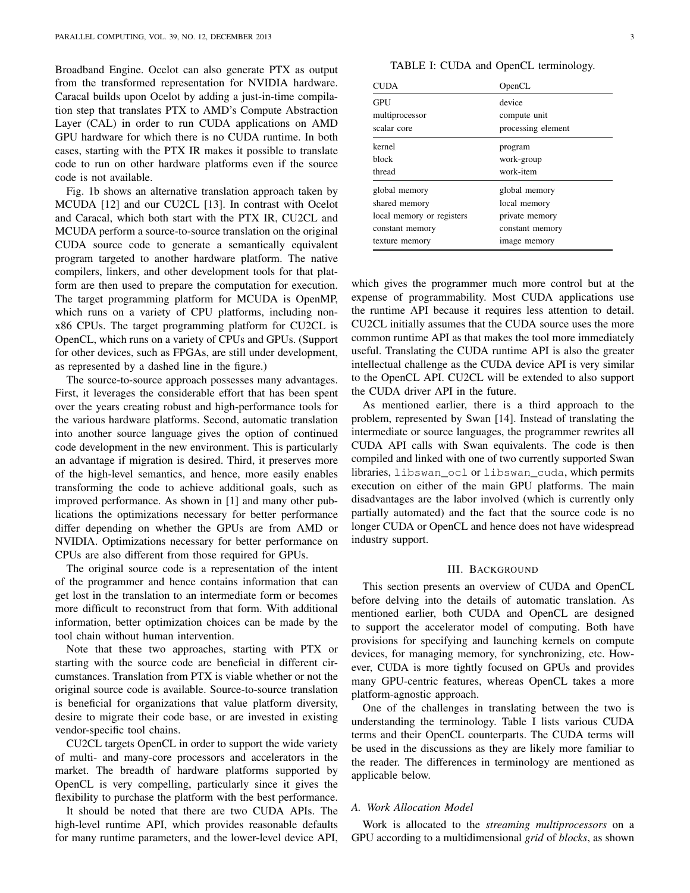Broadband Engine. Ocelot can also generate PTX as output from the transformed representation for NVIDIA hardware. Caracal builds upon Ocelot by adding a just-in-time compilation step that translates PTX to AMD's Compute Abstraction Layer (CAL) in order to run CUDA applications on AMD GPU hardware for which there is no CUDA runtime. In both cases, starting with the PTX IR makes it possible to translate code to run on other hardware platforms even if the source code is not available.

Fig. 1b shows an alternative translation approach taken by MCUDA [12] and our CU2CL [13]. In contrast with Ocelot and Caracal, which both start with the PTX IR, CU2CL and MCUDA perform a source-to-source translation on the original CUDA source code to generate a semantically equivalent program targeted to another hardware platform. The native compilers, linkers, and other development tools for that platform are then used to prepare the computation for execution. The target programming platform for MCUDA is OpenMP, which runs on a variety of CPU platforms, including nonx86 CPUs. The target programming platform for CU2CL is OpenCL, which runs on a variety of CPUs and GPUs. (Support for other devices, such as FPGAs, are still under development, as represented by a dashed line in the figure.)

The source-to-source approach possesses many advantages. First, it leverages the considerable effort that has been spent over the years creating robust and high-performance tools for the various hardware platforms. Second, automatic translation into another source language gives the option of continued code development in the new environment. This is particularly an advantage if migration is desired. Third, it preserves more of the high-level semantics, and hence, more easily enables transforming the code to achieve additional goals, such as improved performance. As shown in [1] and many other publications the optimizations necessary for better performance differ depending on whether the GPUs are from AMD or NVIDIA. Optimizations necessary for better performance on CPUs are also different from those required for GPUs.

The original source code is a representation of the intent of the programmer and hence contains information that can get lost in the translation to an intermediate form or becomes more difficult to reconstruct from that form. With additional information, better optimization choices can be made by the tool chain without human intervention.

Note that these two approaches, starting with PTX or starting with the source code are beneficial in different circumstances. Translation from PTX is viable whether or not the original source code is available. Source-to-source translation is beneficial for organizations that value platform diversity, desire to migrate their code base, or are invested in existing vendor-specific tool chains.

CU2CL targets OpenCL in order to support the wide variety of multi- and many-core processors and accelerators in the market. The breadth of hardware platforms supported by OpenCL is very compelling, particularly since it gives the flexibility to purchase the platform with the best performance.

It should be noted that there are two CUDA APIs. The high-level runtime API, which provides reasonable defaults for many runtime parameters, and the lower-level device API,

| CUDA                      | OpenCL             |
|---------------------------|--------------------|
| GPU                       | device             |
| multiprocessor            | compute unit       |
| scalar core               | processing element |
| kernel                    | program            |
| block                     | work-group         |
| thread                    | work-item          |
| global memory             | global memory      |
| shared memory             | local memory       |
| local memory or registers | private memory     |
| constant memory           | constant memory    |
| texture memory            | image memory       |

which gives the programmer much more control but at the expense of programmability. Most CUDA applications use the runtime API because it requires less attention to detail. CU2CL initially assumes that the CUDA source uses the more common runtime API as that makes the tool more immediately useful. Translating the CUDA runtime API is also the greater intellectual challenge as the CUDA device API is very similar to the OpenCL API. CU2CL will be extended to also support the CUDA driver API in the future.

As mentioned earlier, there is a third approach to the problem, represented by Swan [14]. Instead of translating the intermediate or source languages, the programmer rewrites all CUDA API calls with Swan equivalents. The code is then compiled and linked with one of two currently supported Swan libraries, libswan\_ocl or libswan\_cuda, which permits execution on either of the main GPU platforms. The main disadvantages are the labor involved (which is currently only partially automated) and the fact that the source code is no longer CUDA or OpenCL and hence does not have widespread industry support.

## III. BACKGROUND

This section presents an overview of CUDA and OpenCL before delving into the details of automatic translation. As mentioned earlier, both CUDA and OpenCL are designed to support the accelerator model of computing. Both have provisions for specifying and launching kernels on compute devices, for managing memory, for synchronizing, etc. However, CUDA is more tightly focused on GPUs and provides many GPU-centric features, whereas OpenCL takes a more platform-agnostic approach.

One of the challenges in translating between the two is understanding the terminology. Table I lists various CUDA terms and their OpenCL counterparts. The CUDA terms will be used in the discussions as they are likely more familiar to the reader. The differences in terminology are mentioned as applicable below.

# *A. Work Allocation Model*

Work is allocated to the *streaming multiprocessors* on a GPU according to a multidimensional *grid* of *blocks*, as shown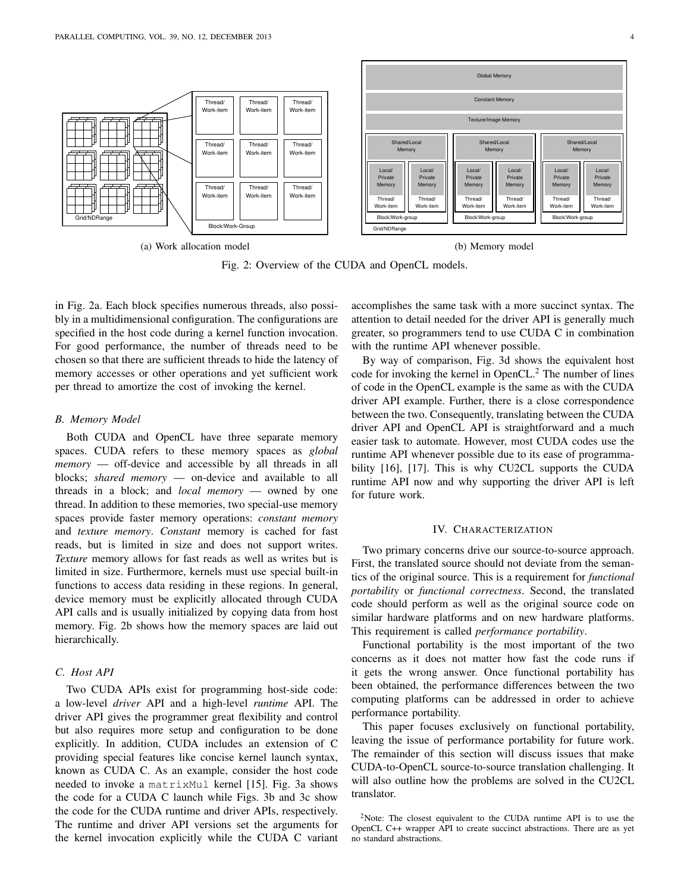

(a) Work allocation model

(b) Memory model

Fig. 2: Overview of the CUDA and OpenCL models.

in Fig. 2a. Each block specifies numerous threads, also possibly in a multidimensional configuration. The configurations are specified in the host code during a kernel function invocation. For good performance, the number of threads need to be chosen so that there are sufficient threads to hide the latency of memory accesses or other operations and yet sufficient work per thread to amortize the cost of invoking the kernel.

## *B. Memory Model*

Both CUDA and OpenCL have three separate memory spaces. CUDA refers to these memory spaces as *global memory* — off-device and accessible by all threads in all blocks; *shared memory* — on-device and available to all threads in a block; and *local memory* — owned by one thread. In addition to these memories, two special-use memory spaces provide faster memory operations: *constant memory* and *texture memory*. *Constant* memory is cached for fast reads, but is limited in size and does not support writes. *Texture* memory allows for fast reads as well as writes but is limited in size. Furthermore, kernels must use special built-in functions to access data residing in these regions. In general, device memory must be explicitly allocated through CUDA API calls and is usually initialized by copying data from host memory. Fig. 2b shows how the memory spaces are laid out hierarchically.

# *C. Host API*

Two CUDA APIs exist for programming host-side code: a low-level *driver* API and a high-level *runtime* API. The driver API gives the programmer great flexibility and control but also requires more setup and configuration to be done explicitly. In addition, CUDA includes an extension of C providing special features like concise kernel launch syntax, known as CUDA C. As an example, consider the host code needed to invoke a matrixMul kernel [15]. Fig. 3a shows the code for a CUDA C launch while Figs. 3b and 3c show the code for the CUDA runtime and driver APIs, respectively. The runtime and driver API versions set the arguments for the kernel invocation explicitly while the CUDA C variant

accomplishes the same task with a more succinct syntax. The attention to detail needed for the driver API is generally much greater, so programmers tend to use CUDA C in combination with the runtime API whenever possible.

By way of comparison, Fig. 3d shows the equivalent host code for invoking the kernel in OpenCL. $<sup>2</sup>$  The number of lines</sup> of code in the OpenCL example is the same as with the CUDA driver API example. Further, there is a close correspondence between the two. Consequently, translating between the CUDA driver API and OpenCL API is straightforward and a much easier task to automate. However, most CUDA codes use the runtime API whenever possible due to its ease of programmability [16], [17]. This is why CU2CL supports the CUDA runtime API now and why supporting the driver API is left for future work.

## IV. CHARACTERIZATION

Two primary concerns drive our source-to-source approach. First, the translated source should not deviate from the semantics of the original source. This is a requirement for *functional portability* or *functional correctness*. Second, the translated code should perform as well as the original source code on similar hardware platforms and on new hardware platforms. This requirement is called *performance portability*.

Functional portability is the most important of the two concerns as it does not matter how fast the code runs if it gets the wrong answer. Once functional portability has been obtained, the performance differences between the two computing platforms can be addressed in order to achieve performance portability.

This paper focuses exclusively on functional portability, leaving the issue of performance portability for future work. The remainder of this section will discuss issues that make CUDA-to-OpenCL source-to-source translation challenging. It will also outline how the problems are solved in the CU2CL translator.

<sup>2</sup>Note: The closest equivalent to the CUDA runtime API is to use the OpenCL C++ wrapper API to create succinct abstractions. There are as yet no standard abstractions.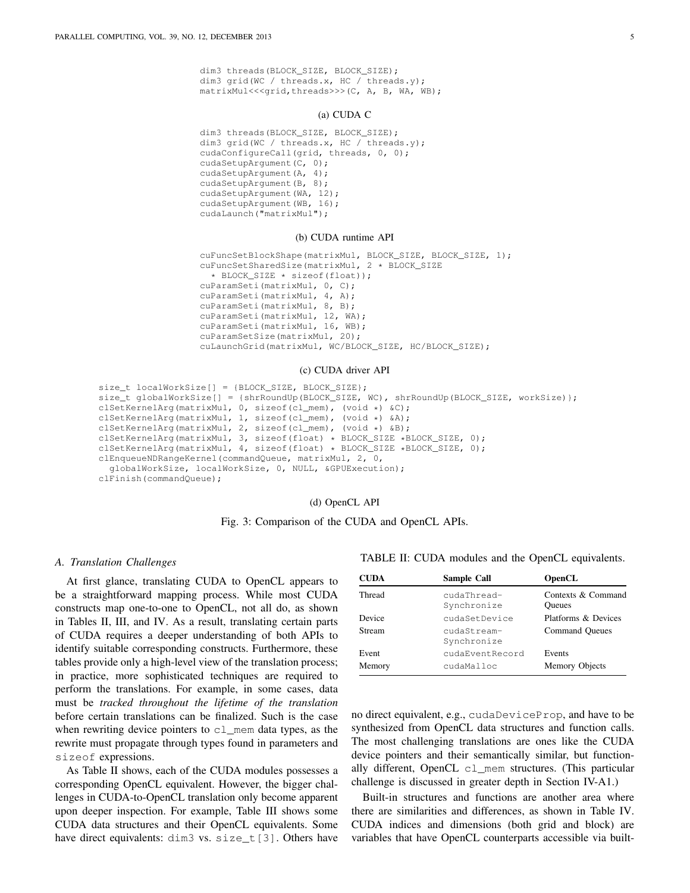dim3 threads(BLOCK\_SIZE, BLOCK\_SIZE); dim3 qrid(WC / threads.x, HC / threads.y); matrixMul<<<grid,threads>>>(C, A, B, WA, WB);

#### (a) CUDA C

dim3 threads(BLOCK\_SIZE, BLOCK\_SIZE); dim3 grid(WC / threads.x, HC / threads.y); cudaConfigureCall(grid, threads, 0, 0); cudaSetupArgument(C, 0); cudaSetupArgument(A, 4); cudaSetupArgument(B, 8); cudaSetupArgument(WA, 12); cudaSetupArgument(WB, 16); cudaLaunch("matrixMul");

#### (b) CUDA runtime API

cuFuncSetBlockShape(matrixMul, BLOCK\_SIZE, BLOCK\_SIZE, 1); cuFuncSetSharedSize(matrixMul, 2 \* BLOCK\_SIZE \* BLOCK\_SIZE \* sizeof(float)); cuParamSeti(matrixMul, 0, C); cuParamSeti(matrixMul, 4, A); cuParamSeti(matrixMul, 8, B); cuParamSeti(matrixMul, 12, WA); cuParamSeti(matrixMul, 16, WB); cuParamSetSize(matrixMul, 20); cuLaunchGrid(matrixMul, WC/BLOCK\_SIZE, HC/BLOCK\_SIZE);

#### (c) CUDA driver API

```
size_t localWorkSize[] = {BLOCK_SIZE, BLOCK_SIZE};
size_t globalWorkSize[] = {shrRoundUp(BLOCK_SIZE, WC), shrRoundUp(BLOCK_SIZE, workSize)};
clSetKernelArg(matrixMul, 0, sizeof(cl_mem), (void *) &C);
clSetKernelArg(matrixMul, 1, sizeof(cl_mem), (void *) &A);
clSetKernelArg(matrixMul, 2, sizeof(cl_mem), (void *) &B);
clSetKernelArg(matrixMul, 3, sizeof(float) * BLOCK_SIZE *BLOCK_SIZE, 0);
clSetKernelArg(matrixMul, 4, sizeof(float) * BLOCK_SIZE *BLOCK_SIZE, 0);
clEnqueueNDRangeKernel(commandQueue, matrixMul, 2, 0,
  globalWorkSize, localWorkSize, 0, NULL, &GPUExecution);
clFinish(commandQueue);
```
## (d) OpenCL API

# Fig. 3: Comparison of the CUDA and OpenCL APIs.

#### *A. Translation Challenges*

At first glance, translating CUDA to OpenCL appears to be a straightforward mapping process. While most CUDA constructs map one-to-one to OpenCL, not all do, as shown in Tables II, III, and IV. As a result, translating certain parts of CUDA requires a deeper understanding of both APIs to identify suitable corresponding constructs. Furthermore, these tables provide only a high-level view of the translation process; in practice, more sophisticated techniques are required to perform the translations. For example, in some cases, data must be *tracked throughout the lifetime of the translation* before certain translations can be finalized. Such is the case when rewriting device pointers to  $c1$  mem data types, as the rewrite must propagate through types found in parameters and sizeof expressions.

As Table II shows, each of the CUDA modules possesses a corresponding OpenCL equivalent. However, the bigger challenges in CUDA-to-OpenCL translation only become apparent upon deeper inspection. For example, Table III shows some CUDA data structures and their OpenCL equivalents. Some have direct equivalents: dim3 vs. size\_t[3]. Others have

TABLE II: CUDA modules and the OpenCL equivalents.

| <b>CUDA</b> | Sample Call                | <b>OpenCL</b>                       |
|-------------|----------------------------|-------------------------------------|
| Thread      | cudaThread-<br>Synchronize | Contexts & Command<br><b>Oueues</b> |
| Device      | cudaSetDevice              | Platforms & Devices                 |
| Stream      | cudaStream-<br>Synchronize | Command Oueues                      |
| Event       | cudaEventRecord            | Events                              |
| Memory      | cudaMalloc                 | Memory Objects                      |

no direct equivalent, e.g., cudaDeviceProp, and have to be synthesized from OpenCL data structures and function calls. The most challenging translations are ones like the CUDA device pointers and their semantically similar, but functionally different, OpenCL cl\_mem structures. (This particular challenge is discussed in greater depth in Section IV-A1.)

Built-in structures and functions are another area where there are similarities and differences, as shown in Table IV. CUDA indices and dimensions (both grid and block) are variables that have OpenCL counterparts accessible via built-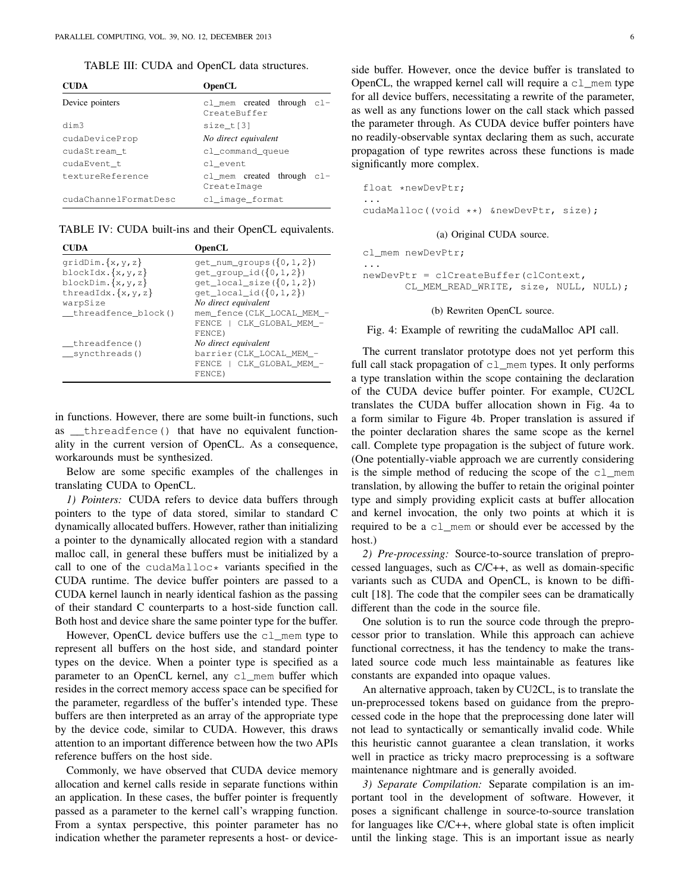TABLE III: CUDA and OpenCL data structures.

| <b>CUDA</b>           | <b>OpenCL</b>                                    |
|-----------------------|--------------------------------------------------|
| Device pointers       | cl mem created through cl-<br>CreateBuffer       |
| dim3                  | size t[3]                                        |
| cudaDeviceProp        | No direct equivalent                             |
| cudaStream t          | cl command queue                                 |
| cudaEvent t           | cl event                                         |
| textureReference      | cl_mem created through<br>$c$ ] –<br>CreateImage |
| cudaChannelFormatDesc | cl_image_format                                  |

TABLE IV: CUDA built-ins and their OpenCL equivalents.

| <b>CUDA</b>              | <b>OpenCL</b>               |
|--------------------------|-----------------------------|
| $gridDim.$ {x, y, z}     | $qet_num_qrows(\{0,1,2\})$  |
| blockIdx. $\{x,y,z\}$    | $get\_group\_id({0, 1, 2})$ |
| blockDim. $\{x, y, z\}$  | $get\_local\_size({0,1,2})$ |
| threadIdx. $\{x, y, z\}$ | $get\_local\_id({0, 1, 2})$ |
| warpSize                 | No direct equivalent        |
| threadfence block()      | mem fence (CLK LOCAL MEM -  |
|                          | FENCE   CLK GLOBAL MEM -    |
|                          | FENCE)                      |
| threadfence()            | No direct equivalent        |
| syncthreads()            | barrier (CLK LOCAL MEM -    |
|                          | FENCE   CLK GLOBAL MEM -    |
|                          | FENCE)                      |

in functions. However, there are some built-in functions, such as \_\_threadfence() that have no equivalent functionality in the current version of OpenCL. As a consequence, workarounds must be synthesized.

Below are some specific examples of the challenges in translating CUDA to OpenCL.

*1) Pointers:* CUDA refers to device data buffers through pointers to the type of data stored, similar to standard C dynamically allocated buffers. However, rather than initializing a pointer to the dynamically allocated region with a standard malloc call, in general these buffers must be initialized by a call to one of the cudaMalloc $*$  variants specified in the CUDA runtime. The device buffer pointers are passed to a CUDA kernel launch in nearly identical fashion as the passing of their standard C counterparts to a host-side function call. Both host and device share the same pointer type for the buffer.

However, OpenCL device buffers use the cl\_mem type to represent all buffers on the host side, and standard pointer types on the device. When a pointer type is specified as a parameter to an OpenCL kernel, any cl\_mem buffer which resides in the correct memory access space can be specified for the parameter, regardless of the buffer's intended type. These buffers are then interpreted as an array of the appropriate type by the device code, similar to CUDA. However, this draws attention to an important difference between how the two APIs reference buffers on the host side.

Commonly, we have observed that CUDA device memory allocation and kernel calls reside in separate functions within an application. In these cases, the buffer pointer is frequently passed as a parameter to the kernel call's wrapping function. From a syntax perspective, this pointer parameter has no indication whether the parameter represents a host- or deviceside buffer. However, once the device buffer is translated to OpenCL, the wrapped kernel call will require a  $cl$  mem type for all device buffers, necessitating a rewrite of the parameter, as well as any functions lower on the call stack which passed the parameter through. As CUDA device buffer pointers have no readily-observable syntax declaring them as such, accurate propagation of type rewrites across these functions is made significantly more complex.

```
float *newDevPtr;
...
cudaMalloc((void **) &newDevPtr, size);
```
## (a) Original CUDA source.

```
cl_mem newDevPtr;
...
newDevPtr = clCreateBuffer(clContext,
       CL_MEM_READ_WRITE, size, NULL, NULL);
```
(b) Rewriten OpenCL source.

Fig. 4: Example of rewriting the cudaMalloc API call.

The current translator prototype does not yet perform this full call stack propagation of cl\_mem types. It only performs a type translation within the scope containing the declaration of the CUDA device buffer pointer. For example, CU2CL translates the CUDA buffer allocation shown in Fig. 4a to a form similar to Figure 4b. Proper translation is assured if the pointer declaration shares the same scope as the kernel call. Complete type propagation is the subject of future work. (One potentially-viable approach we are currently considering is the simple method of reducing the scope of the cl\_mem translation, by allowing the buffer to retain the original pointer type and simply providing explicit casts at buffer allocation and kernel invocation, the only two points at which it is required to be a cl\_mem or should ever be accessed by the host.)

*2) Pre-processing:* Source-to-source translation of preprocessed languages, such as C/C++, as well as domain-specific variants such as CUDA and OpenCL, is known to be difficult [18]. The code that the compiler sees can be dramatically different than the code in the source file.

One solution is to run the source code through the preprocessor prior to translation. While this approach can achieve functional correctness, it has the tendency to make the translated source code much less maintainable as features like constants are expanded into opaque values.

An alternative approach, taken by CU2CL, is to translate the un-preprocessed tokens based on guidance from the preprocessed code in the hope that the preprocessing done later will not lead to syntactically or semantically invalid code. While this heuristic cannot guarantee a clean translation, it works well in practice as tricky macro preprocessing is a software maintenance nightmare and is generally avoided.

*3) Separate Compilation:* Separate compilation is an important tool in the development of software. However, it poses a significant challenge in source-to-source translation for languages like C/C++, where global state is often implicit until the linking stage. This is an important issue as nearly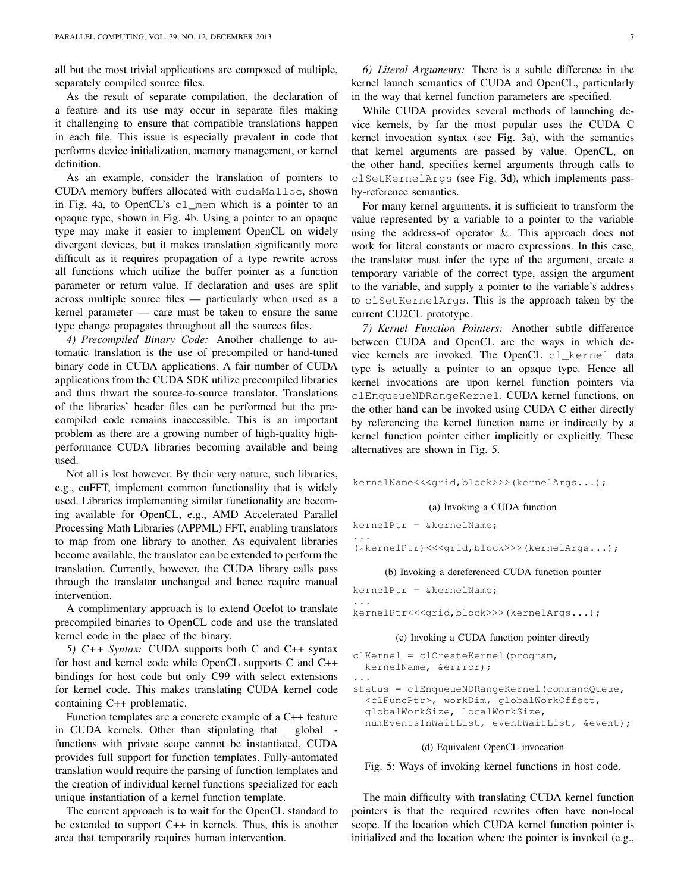all but the most trivial applications are composed of multiple, separately compiled source files.

As the result of separate compilation, the declaration of a feature and its use may occur in separate files making it challenging to ensure that compatible translations happen in each file. This issue is especially prevalent in code that performs device initialization, memory management, or kernel definition.

As an example, consider the translation of pointers to CUDA memory buffers allocated with cudaMalloc, shown in Fig. 4a, to OpenCL's cl\_mem which is a pointer to an opaque type, shown in Fig. 4b. Using a pointer to an opaque type may make it easier to implement OpenCL on widely divergent devices, but it makes translation significantly more difficult as it requires propagation of a type rewrite across all functions which utilize the buffer pointer as a function parameter or return value. If declaration and uses are split across multiple source files — particularly when used as a kernel parameter — care must be taken to ensure the same type change propagates throughout all the sources files.

*4) Precompiled Binary Code:* Another challenge to automatic translation is the use of precompiled or hand-tuned binary code in CUDA applications. A fair number of CUDA applications from the CUDA SDK utilize precompiled libraries and thus thwart the source-to-source translator. Translations of the libraries' header files can be performed but the precompiled code remains inaccessible. This is an important problem as there are a growing number of high-quality highperformance CUDA libraries becoming available and being used.

Not all is lost however. By their very nature, such libraries, e.g., cuFFT, implement common functionality that is widely used. Libraries implementing similar functionality are becoming available for OpenCL, e.g., AMD Accelerated Parallel Processing Math Libraries (APPML) FFT, enabling translators to map from one library to another. As equivalent libraries become available, the translator can be extended to perform the translation. Currently, however, the CUDA library calls pass through the translator unchanged and hence require manual intervention.

A complimentary approach is to extend Ocelot to translate precompiled binaries to OpenCL code and use the translated kernel code in the place of the binary.

*5) C++ Syntax:* CUDA supports both C and C++ syntax for host and kernel code while OpenCL supports C and C++ bindings for host code but only C99 with select extensions for kernel code. This makes translating CUDA kernel code containing C++ problematic.

Function templates are a concrete example of a C++ feature in CUDA kernels. Other than stipulating that global\_functions with private scope cannot be instantiated, CUDA provides full support for function templates. Fully-automated translation would require the parsing of function templates and the creation of individual kernel functions specialized for each unique instantiation of a kernel function template.

The current approach is to wait for the OpenCL standard to be extended to support C++ in kernels. Thus, this is another area that temporarily requires human intervention.

*6) Literal Arguments:* There is a subtle difference in the kernel launch semantics of CUDA and OpenCL, particularly in the way that kernel function parameters are specified.

While CUDA provides several methods of launching device kernels, by far the most popular uses the CUDA C kernel invocation syntax (see Fig. 3a), with the semantics that kernel arguments are passed by value. OpenCL, on the other hand, specifies kernel arguments through calls to clSetKernelArgs (see Fig. 3d), which implements passby-reference semantics.

For many kernel arguments, it is sufficient to transform the value represented by a variable to a pointer to the variable using the address-of operator &. This approach does not work for literal constants or macro expressions. In this case, the translator must infer the type of the argument, create a temporary variable of the correct type, assign the argument to the variable, and supply a pointer to the variable's address to clSetKernelArgs. This is the approach taken by the current CU2CL prototype.

*7) Kernel Function Pointers:* Another subtle difference between CUDA and OpenCL are the ways in which device kernels are invoked. The OpenCL cl kernel data type is actually a pointer to an opaque type. Hence all kernel invocations are upon kernel function pointers via clEnqueueNDRangeKernel. CUDA kernel functions, on the other hand can be invoked using CUDA C either directly by referencing the kernel function name or indirectly by a kernel function pointer either implicitly or explicitly. These alternatives are shown in Fig. 5.

kernelName<<<grid,block>>>(kernelArgs...);

#### (a) Invoking a CUDA function

kernelPtr = &kernelName; ...

(\*kernelPtr)<<<grid,block>>>(kernelArgs...);

#### (b) Invoking a dereferenced CUDA function pointer

kernelPtr = &kernelName;

...

kernelPtr<<<grid,block>>>(kernelArgs...);

#### (c) Invoking a CUDA function pointer directly

```
clKernel = clCreateKernel(program,
 kernelName, &errror);
...
status = clEnqueueNDRangeKernel(commandQueue,
  <clFuncPtr>, workDim, globalWorkOffset,
  globalWorkSize, localWorkSize,
  numEventsInWaitList, eventWaitList, &event);
```
## (d) Equivalent OpenCL invocation

Fig. 5: Ways of invoking kernel functions in host code.

The main difficulty with translating CUDA kernel function pointers is that the required rewrites often have non-local scope. If the location which CUDA kernel function pointer is initialized and the location where the pointer is invoked (e.g.,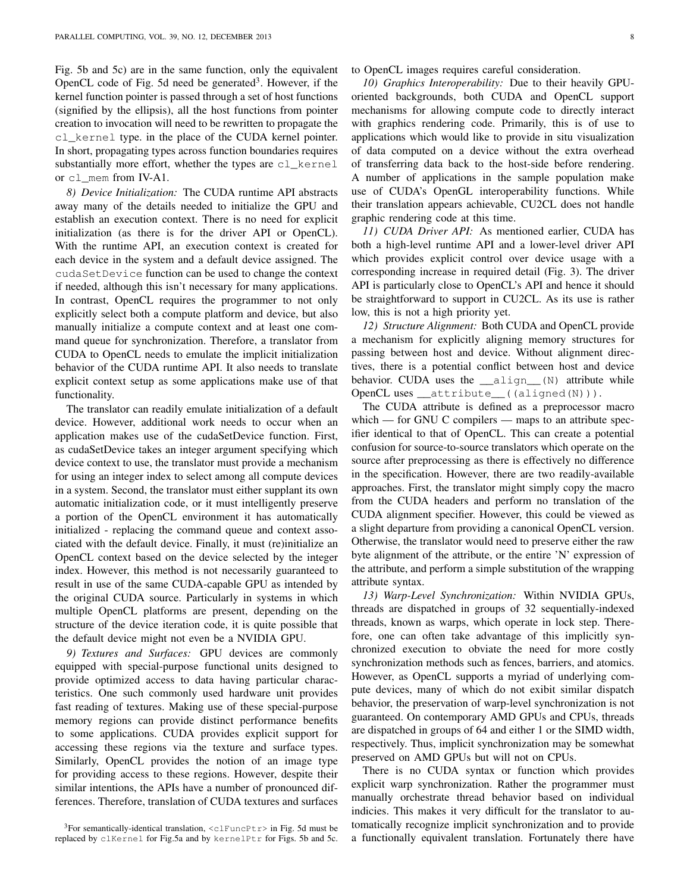Fig. 5b and 5c) are in the same function, only the equivalent OpenCL code of Fig. 5d need be generated<sup>3</sup>. However, if the kernel function pointer is passed through a set of host functions (signified by the ellipsis), all the host functions from pointer creation to invocation will need to be rewritten to propagate the cl\_kernel type. in the place of the CUDA kernel pointer. In short, propagating types across function boundaries requires substantially more effort, whether the types are cl\_kernel or cl\_mem from IV-A1.

*8) Device Initialization:* The CUDA runtime API abstracts away many of the details needed to initialize the GPU and establish an execution context. There is no need for explicit initialization (as there is for the driver API or OpenCL). With the runtime API, an execution context is created for each device in the system and a default device assigned. The cudaSetDevice function can be used to change the context if needed, although this isn't necessary for many applications. In contrast, OpenCL requires the programmer to not only explicitly select both a compute platform and device, but also manually initialize a compute context and at least one command queue for synchronization. Therefore, a translator from CUDA to OpenCL needs to emulate the implicit initialization behavior of the CUDA runtime API. It also needs to translate explicit context setup as some applications make use of that functionality.

The translator can readily emulate initialization of a default device. However, additional work needs to occur when an application makes use of the cudaSetDevice function. First, as cudaSetDevice takes an integer argument specifying which device context to use, the translator must provide a mechanism for using an integer index to select among all compute devices in a system. Second, the translator must either supplant its own automatic initialization code, or it must intelligently preserve a portion of the OpenCL environment it has automatically initialized - replacing the command queue and context associated with the default device. Finally, it must (re)initialize an OpenCL context based on the device selected by the integer index. However, this method is not necessarily guaranteed to result in use of the same CUDA-capable GPU as intended by the original CUDA source. Particularly in systems in which multiple OpenCL platforms are present, depending on the structure of the device iteration code, it is quite possible that the default device might not even be a NVIDIA GPU.

*9) Textures and Surfaces:* GPU devices are commonly equipped with special-purpose functional units designed to provide optimized access to data having particular characteristics. One such commonly used hardware unit provides fast reading of textures. Making use of these special-purpose memory regions can provide distinct performance benefits to some applications. CUDA provides explicit support for accessing these regions via the texture and surface types. Similarly, OpenCL provides the notion of an image type for providing access to these regions. However, despite their similar intentions, the APIs have a number of pronounced differences. Therefore, translation of CUDA textures and surfaces to OpenCL images requires careful consideration.

*10) Graphics Interoperability:* Due to their heavily GPUoriented backgrounds, both CUDA and OpenCL support mechanisms for allowing compute code to directly interact with graphics rendering code. Primarily, this is of use to applications which would like to provide in situ visualization of data computed on a device without the extra overhead of transferring data back to the host-side before rendering. A number of applications in the sample population make use of CUDA's OpenGL interoperability functions. While their translation appears achievable, CU2CL does not handle graphic rendering code at this time.

*11) CUDA Driver API:* As mentioned earlier, CUDA has both a high-level runtime API and a lower-level driver API which provides explicit control over device usage with a corresponding increase in required detail (Fig. 3). The driver API is particularly close to OpenCL's API and hence it should be straightforward to support in CU2CL. As its use is rather low, this is not a high priority yet.

*12) Structure Alignment:* Both CUDA and OpenCL provide a mechanism for explicitly aligning memory structures for passing between host and device. Without alignment directives, there is a potential conflict between host and device behavior. CUDA uses the  $_align$  (N) attribute while OpenCL uses \_\_attribute\_\_((aligned(N))).

The CUDA attribute is defined as a preprocessor macro which — for GNU C compilers — maps to an attribute specifier identical to that of OpenCL. This can create a potential confusion for source-to-source translators which operate on the source after preprocessing as there is effectively no difference in the specification. However, there are two readily-available approaches. First, the translator might simply copy the macro from the CUDA headers and perform no translation of the CUDA alignment specifier. However, this could be viewed as a slight departure from providing a canonical OpenCL version. Otherwise, the translator would need to preserve either the raw byte alignment of the attribute, or the entire 'N' expression of the attribute, and perform a simple substitution of the wrapping attribute syntax.

*13) Warp-Level Synchronization:* Within NVIDIA GPUs, threads are dispatched in groups of 32 sequentially-indexed threads, known as warps, which operate in lock step. Therefore, one can often take advantage of this implicitly synchronized execution to obviate the need for more costly synchronization methods such as fences, barriers, and atomics. However, as OpenCL supports a myriad of underlying compute devices, many of which do not exibit similar dispatch behavior, the preservation of warp-level synchronization is not guaranteed. On contemporary AMD GPUs and CPUs, threads are dispatched in groups of 64 and either 1 or the SIMD width, respectively. Thus, implicit synchronization may be somewhat preserved on AMD GPUs but will not on CPUs.

There is no CUDA syntax or function which provides explicit warp synchronization. Rather the programmer must manually orchestrate thread behavior based on individual indicies. This makes it very difficult for the translator to automatically recognize implicit synchronization and to provide a functionally equivalent translation. Fortunately there have

<sup>&</sup>lt;sup>3</sup>For semantically-identical translation,  $\langle c1 \text{FuncPtr} \rangle$  in Fig. 5d must be replaced by clKernel for Fig.5a and by kernelPtr for Figs. 5b and 5c.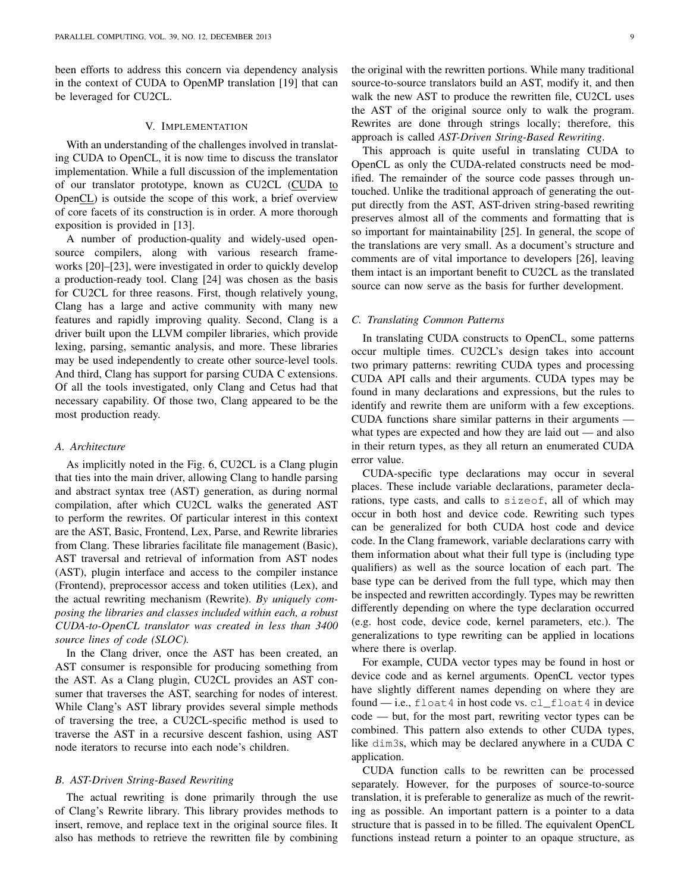been efforts to address this concern via dependency analysis in the context of CUDA to OpenMP translation [19] that can be leveraged for CU2CL.

#### V. IMPLEMENTATION

With an understanding of the challenges involved in translating CUDA to OpenCL, it is now time to discuss the translator implementation. While a full discussion of the implementation of our translator prototype, known as CU2CL (CUDA to OpenCL) is outside the scope of this work, a brief overview of core facets of its construction is in order. A more thorough exposition is provided in [13].

A number of production-quality and widely-used opensource compilers, along with various research frameworks [20]–[23], were investigated in order to quickly develop a production-ready tool. Clang [24] was chosen as the basis for CU2CL for three reasons. First, though relatively young, Clang has a large and active community with many new features and rapidly improving quality. Second, Clang is a driver built upon the LLVM compiler libraries, which provide lexing, parsing, semantic analysis, and more. These libraries may be used independently to create other source-level tools. And third, Clang has support for parsing CUDA C extensions. Of all the tools investigated, only Clang and Cetus had that necessary capability. Of those two, Clang appeared to be the most production ready.

## *A. Architecture*

As implicitly noted in the Fig. 6, CU2CL is a Clang plugin that ties into the main driver, allowing Clang to handle parsing and abstract syntax tree (AST) generation, as during normal compilation, after which CU2CL walks the generated AST to perform the rewrites. Of particular interest in this context are the AST, Basic, Frontend, Lex, Parse, and Rewrite libraries from Clang. These libraries facilitate file management (Basic), AST traversal and retrieval of information from AST nodes (AST), plugin interface and access to the compiler instance (Frontend), preprocessor access and token utilities (Lex), and the actual rewriting mechanism (Rewrite). *By uniquely composing the libraries and classes included within each, a robust CUDA-to-OpenCL translator was created in less than 3400 source lines of code (SLOC).*

In the Clang driver, once the AST has been created, an AST consumer is responsible for producing something from the AST. As a Clang plugin, CU2CL provides an AST consumer that traverses the AST, searching for nodes of interest. While Clang's AST library provides several simple methods of traversing the tree, a CU2CL-specific method is used to traverse the AST in a recursive descent fashion, using AST node iterators to recurse into each node's children.

## *B. AST-Driven String-Based Rewriting*

The actual rewriting is done primarily through the use of Clang's Rewrite library. This library provides methods to insert, remove, and replace text in the original source files. It also has methods to retrieve the rewritten file by combining the original with the rewritten portions. While many traditional source-to-source translators build an AST, modify it, and then walk the new AST to produce the rewritten file, CU2CL uses the AST of the original source only to walk the program. Rewrites are done through strings locally; therefore, this approach is called *AST-Driven String-Based Rewriting*.

This approach is quite useful in translating CUDA to OpenCL as only the CUDA-related constructs need be modified. The remainder of the source code passes through untouched. Unlike the traditional approach of generating the output directly from the AST, AST-driven string-based rewriting preserves almost all of the comments and formatting that is so important for maintainability [25]. In general, the scope of the translations are very small. As a document's structure and comments are of vital importance to developers [26], leaving them intact is an important benefit to CU2CL as the translated source can now serve as the basis for further development.

## *C. Translating Common Patterns*

In translating CUDA constructs to OpenCL, some patterns occur multiple times. CU2CL's design takes into account two primary patterns: rewriting CUDA types and processing CUDA API calls and their arguments. CUDA types may be found in many declarations and expressions, but the rules to identify and rewrite them are uniform with a few exceptions. CUDA functions share similar patterns in their arguments what types are expected and how they are laid out — and also in their return types, as they all return an enumerated CUDA error value.

CUDA-specific type declarations may occur in several places. These include variable declarations, parameter declarations, type casts, and calls to sizeof, all of which may occur in both host and device code. Rewriting such types can be generalized for both CUDA host code and device code. In the Clang framework, variable declarations carry with them information about what their full type is (including type qualifiers) as well as the source location of each part. The base type can be derived from the full type, which may then be inspected and rewritten accordingly. Types may be rewritten differently depending on where the type declaration occurred (e.g. host code, device code, kernel parameters, etc.). The generalizations to type rewriting can be applied in locations where there is overlap.

For example, CUDA vector types may be found in host or device code and as kernel arguments. OpenCL vector types have slightly different names depending on where they are found — i.e., float4 in host code vs. cl\_float4 in device code — but, for the most part, rewriting vector types can be combined. This pattern also extends to other CUDA types, like dim3s, which may be declared anywhere in a CUDA C application.

CUDA function calls to be rewritten can be processed separately. However, for the purposes of source-to-source translation, it is preferable to generalize as much of the rewriting as possible. An important pattern is a pointer to a data structure that is passed in to be filled. The equivalent OpenCL functions instead return a pointer to an opaque structure, as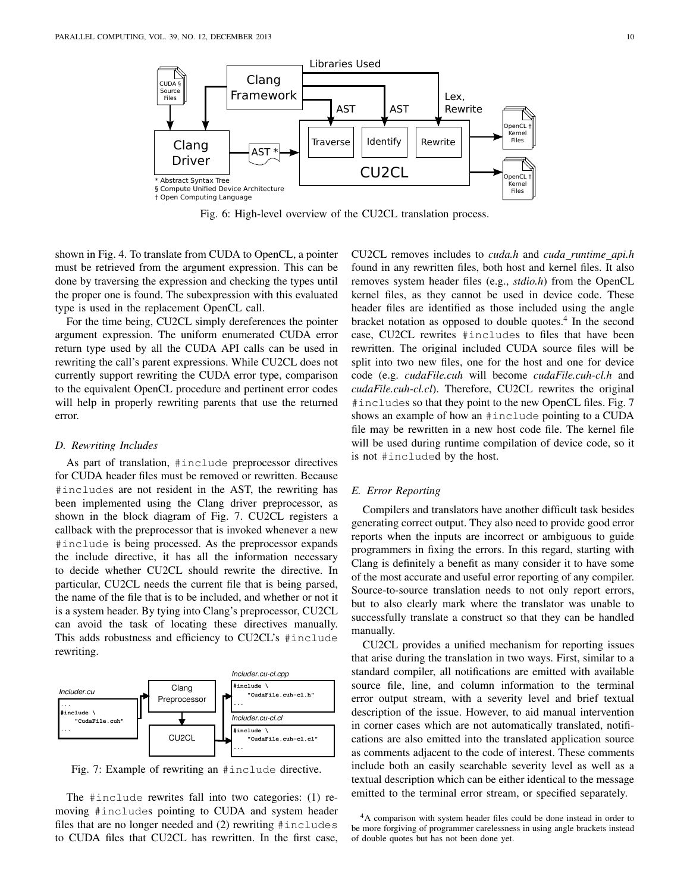

Fig. 6: High-level overview of the CU2CL translation process.

shown in Fig. 4. To translate from CUDA to OpenCL, a pointer must be retrieved from the argument expression. This can be done by traversing the expression and checking the types until the proper one is found. The subexpression with this evaluated type is used in the replacement OpenCL call.

For the time being, CU2CL simply dereferences the pointer argument expression. The uniform enumerated CUDA error return type used by all the CUDA API calls can be used in rewriting the call's parent expressions. While CU2CL does not currently support rewriting the CUDA error type, comparison to the equivalent OpenCL procedure and pertinent error codes will help in properly rewriting parents that use the returned error.

#### *D. Rewriting Includes*

As part of translation, #include preprocessor directives for CUDA header files must be removed or rewritten. Because #includes are not resident in the AST, the rewriting has been implemented using the Clang driver preprocessor, as shown in the block diagram of Fig. 7. CU2CL registers a callback with the preprocessor that is invoked whenever a new #include is being processed. As the preprocessor expands the include directive, it has all the information necessary to decide whether CU2CL should rewrite the directive. In particular, CU2CL needs the current file that is being parsed, the name of the file that is to be included, and whether or not it is a system header. By tying into Clang's preprocessor, CU2CL can avoid the task of locating these directives manually. This adds robustness and efficiency to CU2CL's #include rewriting.



Fig. 7: Example of rewriting an #include directive.

The #include rewrites fall into two categories: (1) removing #includes pointing to CUDA and system header files that are no longer needed and (2) rewriting #includes to CUDA files that CU2CL has rewritten. In the first case, CU2CL removes includes to *cuda.h* and *cuda runtime api.h* found in any rewritten files, both host and kernel files. It also removes system header files (e.g., *stdio.h*) from the OpenCL kernel files, as they cannot be used in device code. These header files are identified as those included using the angle bracket notation as opposed to double quotes.<sup>4</sup> In the second case, CU2CL rewrites #includes to files that have been rewritten. The original included CUDA source files will be split into two new files, one for the host and one for device code (e.g. *cudaFile.cuh* will become *cudaFile.cuh-cl.h* and *cudaFile.cuh-cl.cl*). Therefore, CU2CL rewrites the original #includes so that they point to the new OpenCL files. Fig. 7 shows an example of how an #include pointing to a CUDA file may be rewritten in a new host code file. The kernel file will be used during runtime compilation of device code, so it is not #included by the host.

# *E. Error Reporting*

Compilers and translators have another difficult task besides generating correct output. They also need to provide good error reports when the inputs are incorrect or ambiguous to guide programmers in fixing the errors. In this regard, starting with Clang is definitely a benefit as many consider it to have some of the most accurate and useful error reporting of any compiler. Source-to-source translation needs to not only report errors, but to also clearly mark where the translator was unable to successfully translate a construct so that they can be handled manually.

CU2CL provides a unified mechanism for reporting issues that arise during the translation in two ways. First, similar to a standard compiler, all notifications are emitted with available source file, line, and column information to the terminal error output stream, with a severity level and brief textual description of the issue. However, to aid manual intervention in corner cases which are not automatically translated, notifications are also emitted into the translated application source as comments adjacent to the code of interest. These comments include both an easily searchable severity level as well as a textual description which can be either identical to the message emitted to the terminal error stream, or specified separately.

<sup>&</sup>lt;sup>4</sup>A comparison with system header files could be done instead in order to be more forgiving of programmer carelessness in using angle brackets instead of double quotes but has not been done yet.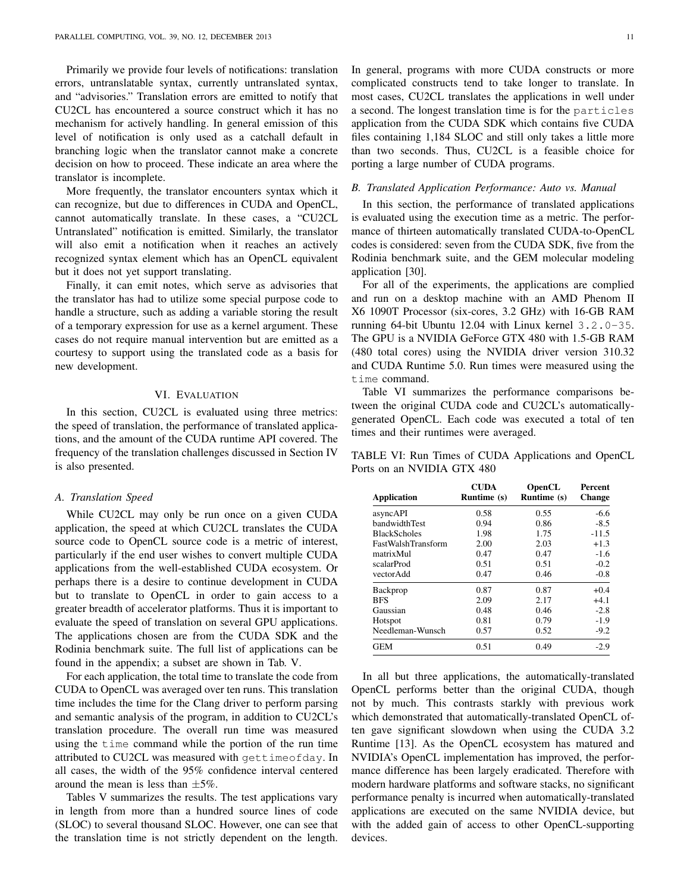Primarily we provide four levels of notifications: translation errors, untranslatable syntax, currently untranslated syntax, and "advisories." Translation errors are emitted to notify that CU2CL has encountered a source construct which it has no mechanism for actively handling. In general emission of this level of notification is only used as a catchall default in branching logic when the translator cannot make a concrete decision on how to proceed. These indicate an area where the translator is incomplete.

More frequently, the translator encounters syntax which it can recognize, but due to differences in CUDA and OpenCL, cannot automatically translate. In these cases, a "CU2CL Untranslated" notification is emitted. Similarly, the translator will also emit a notification when it reaches an actively recognized syntax element which has an OpenCL equivalent but it does not yet support translating.

Finally, it can emit notes, which serve as advisories that the translator has had to utilize some special purpose code to handle a structure, such as adding a variable storing the result of a temporary expression for use as a kernel argument. These cases do not require manual intervention but are emitted as a courtesy to support using the translated code as a basis for new development.

# VI. EVALUATION

In this section, CU2CL is evaluated using three metrics: the speed of translation, the performance of translated applications, and the amount of the CUDA runtime API covered. The frequency of the translation challenges discussed in Section IV is also presented.

## *A. Translation Speed*

While CU2CL may only be run once on a given CUDA application, the speed at which CU2CL translates the CUDA source code to OpenCL source code is a metric of interest, particularly if the end user wishes to convert multiple CUDA applications from the well-established CUDA ecosystem. Or perhaps there is a desire to continue development in CUDA but to translate to OpenCL in order to gain access to a greater breadth of accelerator platforms. Thus it is important to evaluate the speed of translation on several GPU applications. The applications chosen are from the CUDA SDK and the Rodinia benchmark suite. The full list of applications can be found in the appendix; a subset are shown in Tab. V.

For each application, the total time to translate the code from CUDA to OpenCL was averaged over ten runs. This translation time includes the time for the Clang driver to perform parsing and semantic analysis of the program, in addition to CU2CL's translation procedure. The overall run time was measured using the time command while the portion of the run time attributed to CU2CL was measured with gettimeofday. In all cases, the width of the 95% confidence interval centered around the mean is less than  $\pm 5\%$ .

Tables V summarizes the results. The test applications vary in length from more than a hundred source lines of code (SLOC) to several thousand SLOC. However, one can see that the translation time is not strictly dependent on the length. In general, programs with more CUDA constructs or more complicated constructs tend to take longer to translate. In most cases, CU2CL translates the applications in well under a second. The longest translation time is for the particles application from the CUDA SDK which contains five CUDA files containing 1,184 SLOC and still only takes a little more than two seconds. Thus, CU2CL is a feasible choice for porting a large number of CUDA programs.

# *B. Translated Application Performance: Auto vs. Manual*

In this section, the performance of translated applications is evaluated using the execution time as a metric. The performance of thirteen automatically translated CUDA-to-OpenCL codes is considered: seven from the CUDA SDK, five from the Rodinia benchmark suite, and the GEM molecular modeling application [30].

For all of the experiments, the applications are complied and run on a desktop machine with an AMD Phenom II X6 1090T Processor (six-cores, 3.2 GHz) with 16-GB RAM running 64-bit Ubuntu 12.04 with Linux kernel 3.2.0-35. The GPU is a NVIDIA GeForce GTX 480 with 1.5-GB RAM (480 total cores) using the NVIDIA driver version 310.32 and CUDA Runtime 5.0. Run times were measured using the time command.

Table VI summarizes the performance comparisons between the original CUDA code and CU2CL's automaticallygenerated OpenCL. Each code was executed a total of ten times and their runtimes were averaged.

TABLE VI: Run Times of CUDA Applications and OpenCL Ports on an NVIDIA GTX 480

| <b>Application</b>        | <b>CUDA</b><br>Runtime (s) | <b>OpenCL</b><br>Runtime (s) | Percent<br><b>Change</b> |
|---------------------------|----------------------------|------------------------------|--------------------------|
| asyncAPI                  | 0.58                       | 0.55                         | $-6.6$                   |
| bandwidthTest             | 0.94                       | 0.86                         | $-8.5$                   |
| <b>BlackScholes</b>       | 1.98                       | 1.75                         | $-11.5$                  |
| <b>FastWalshTransform</b> | 2.00                       | 2.03                         | $+1.3$                   |
| matrixMul                 | 0.47                       | 0.47                         | $-1.6$                   |
| scalarProd                | 0.51                       | 0.51                         | $-0.2$                   |
| vectorAdd                 | 0.47                       | 0.46                         | $-0.8$                   |
| Backprop                  | 0.87                       | 0.87                         | $+0.4$                   |
| <b>BFS</b>                | 2.09                       | 2.17                         | $+4.1$                   |
| Gaussian                  | 0.48                       | 0.46                         | $-2.8$                   |
| Hotspot                   | 0.81                       | 0.79                         | $-1.9$                   |
| Needleman-Wunsch          | 0.57                       | 0.52                         | $-9.2$                   |
| <b>GEM</b>                | 0.51                       | 0.49                         | $-2.9$                   |

In all but three applications, the automatically-translated OpenCL performs better than the original CUDA, though not by much. This contrasts starkly with previous work which demonstrated that automatically-translated OpenCL often gave significant slowdown when using the CUDA 3.2 Runtime [13]. As the OpenCL ecosystem has matured and NVIDIA's OpenCL implementation has improved, the performance difference has been largely eradicated. Therefore with modern hardware platforms and software stacks, no significant performance penalty is incurred when automatically-translated applications are executed on the same NVIDIA device, but with the added gain of access to other OpenCL-supporting devices.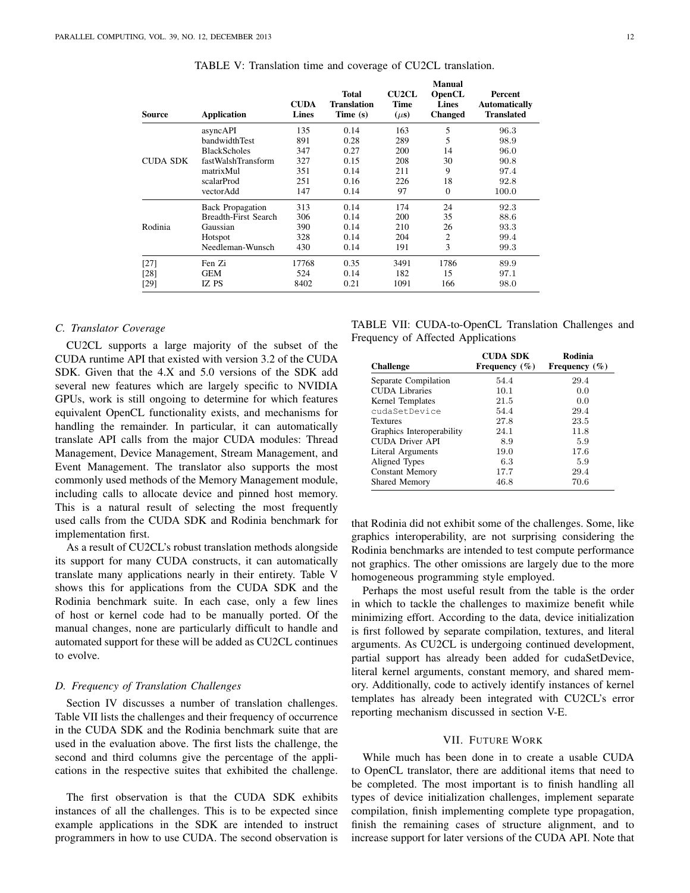| Source          | <b>Application</b>          | <b>CUDA</b><br>Lines | <b>Total</b><br><b>Translation</b><br>Time (s) | <b>CU2CL</b><br><b>Time</b><br>$(\mu s)$ | <b>Manual</b><br><b>OpenCL</b><br>Lines<br><b>Changed</b> | Percent<br><b>Automatically</b><br>Translated |
|-----------------|-----------------------------|----------------------|------------------------------------------------|------------------------------------------|-----------------------------------------------------------|-----------------------------------------------|
|                 | asyncAPI                    | 135                  | 0.14                                           | 163                                      | 5                                                         | 96.3                                          |
|                 | bandwidthTest               | 891                  | 0.28                                           | 289                                      | 5                                                         | 98.9                                          |
|                 | <b>BlackScholes</b>         | 347                  | 0.27                                           | 200                                      | 14                                                        | 96.0                                          |
| <b>CUDA SDK</b> | fastWalshTransform          | 327                  | 0.15                                           | 208                                      | 30                                                        | 90.8                                          |
|                 | matrixMul                   | 351                  | 0.14                                           | 211                                      | 9                                                         | 97.4                                          |
|                 | scalarProd                  | 251                  | 0.16                                           | 226                                      | 18                                                        | 92.8                                          |
|                 | vectorAdd                   | 147                  | 0.14                                           | 97                                       | $\mathbf{0}$                                              | 100.0                                         |
|                 | <b>Back Propagation</b>     | 313                  | 0.14                                           | 174                                      | 24                                                        | 92.3                                          |
|                 | <b>Breadth-First Search</b> | 306                  | 0.14                                           | 200                                      | 35                                                        | 88.6                                          |
| Rodinia         | Gaussian                    | 390                  | 0.14                                           | 210                                      | 26                                                        | 93.3                                          |
|                 | Hotspot                     | 328                  | 0.14                                           | 204                                      | $\overline{2}$                                            | 99.4                                          |
|                 | Needleman-Wunsch            | 430                  | 0.14                                           | 191                                      | 3                                                         | 99.3                                          |
| $[27]$          | Fen Zi                      | 17768                | 0.35                                           | 3491                                     | 1786                                                      | 89.9                                          |
| [28]            | <b>GEM</b>                  | 524                  | 0.14                                           | 182                                      | 15                                                        | 97.1                                          |
| [29]            | IZ PS                       | 8402                 | 0.21                                           | 1091                                     | 166                                                       | 98.0                                          |

TABLE V: Translation time and coverage of CU2CL translation.

# *C. Translator Coverage*

CU2CL supports a large majority of the subset of the CUDA runtime API that existed with version 3.2 of the CUDA SDK. Given that the 4.X and 5.0 versions of the SDK add several new features which are largely specific to NVIDIA GPUs, work is still ongoing to determine for which features equivalent OpenCL functionality exists, and mechanisms for handling the remainder. In particular, it can automatically translate API calls from the major CUDA modules: Thread Management, Device Management, Stream Management, and Event Management. The translator also supports the most commonly used methods of the Memory Management module, including calls to allocate device and pinned host memory. This is a natural result of selecting the most frequently used calls from the CUDA SDK and Rodinia benchmark for implementation first.

As a result of CU2CL's robust translation methods alongside its support for many CUDA constructs, it can automatically translate many applications nearly in their entirety. Table V shows this for applications from the CUDA SDK and the Rodinia benchmark suite. In each case, only a few lines of host or kernel code had to be manually ported. Of the manual changes, none are particularly difficult to handle and automated support for these will be added as CU2CL continues to evolve.

## *D. Frequency of Translation Challenges*

Section IV discusses a number of translation challenges. Table VII lists the challenges and their frequency of occurrence in the CUDA SDK and the Rodinia benchmark suite that are used in the evaluation above. The first lists the challenge, the second and third columns give the percentage of the applications in the respective suites that exhibited the challenge.

The first observation is that the CUDA SDK exhibits instances of all the challenges. This is to be expected since example applications in the SDK are intended to instruct programmers in how to use CUDA. The second observation is

TABLE VII: CUDA-to-OpenCL Translation Challenges and Frequency of Affected Applications

| <b>Challenge</b>          | <b>CUDA SDK</b><br>Frequency $(\%)$ | Rodinia<br>Frequency $(\% )$ |
|---------------------------|-------------------------------------|------------------------------|
| Separate Compilation      | 54.4                                | 29.4                         |
| CUDA Libraries            | 10.1                                | 0.0                          |
| Kernel Templates          | 21.5                                | 0.0                          |
| cudaSetDevice             | 54.4                                | 29.4                         |
| <b>Textures</b>           | 27.8                                | 23.5                         |
| Graphics Interoperability | 24.1                                | 11.8                         |
| CUDA Driver API           | 8.9                                 | 5.9                          |
| Literal Arguments         | 19.0                                | 17.6                         |
| Aligned Types             | 6.3                                 | 5.9                          |
| <b>Constant Memory</b>    | 17.7                                | 29.4                         |
| <b>Shared Memory</b>      | 46.8                                | 70.6                         |

that Rodinia did not exhibit some of the challenges. Some, like graphics interoperability, are not surprising considering the Rodinia benchmarks are intended to test compute performance not graphics. The other omissions are largely due to the more homogeneous programming style employed.

Perhaps the most useful result from the table is the order in which to tackle the challenges to maximize benefit while minimizing effort. According to the data, device initialization is first followed by separate compilation, textures, and literal arguments. As CU2CL is undergoing continued development, partial support has already been added for cudaSetDevice, literal kernel arguments, constant memory, and shared memory. Additionally, code to actively identify instances of kernel templates has already been integrated with CU2CL's error reporting mechanism discussed in section V-E.

#### VII. FUTURE WORK

While much has been done in to create a usable CUDA to OpenCL translator, there are additional items that need to be completed. The most important is to finish handling all types of device initialization challenges, implement separate compilation, finish implementing complete type propagation, finish the remaining cases of structure alignment, and to increase support for later versions of the CUDA API. Note that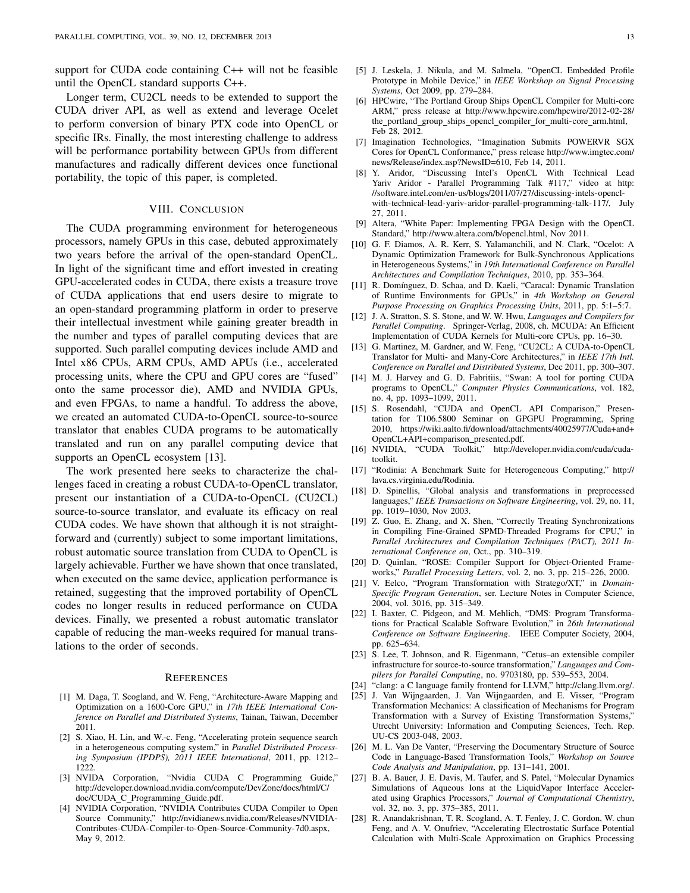support for CUDA code containing C++ will not be feasible until the OpenCL standard supports C++.

Longer term, CU2CL needs to be extended to support the CUDA driver API, as well as extend and leverage Ocelet to perform conversion of binary PTX code into OpenCL or specific IRs. Finally, the most interesting challenge to address will be performance portability between GPUs from different manufactures and radically different devices once functional portability, the topic of this paper, is completed.

# VIII. CONCLUSION

The CUDA programming environment for heterogeneous processors, namely GPUs in this case, debuted approximately two years before the arrival of the open-standard OpenCL. In light of the significant time and effort invested in creating GPU-accelerated codes in CUDA, there exists a treasure trove of CUDA applications that end users desire to migrate to an open-standard programming platform in order to preserve their intellectual investment while gaining greater breadth in the number and types of parallel computing devices that are supported. Such parallel computing devices include AMD and Intel x86 CPUs, ARM CPUs, AMD APUs (i.e., accelerated processing units, where the CPU and GPU cores are "fused" onto the same processor die), AMD and NVIDIA GPUs, and even FPGAs, to name a handful. To address the above, we created an automated CUDA-to-OpenCL source-to-source translator that enables CUDA programs to be automatically translated and run on any parallel computing device that supports an OpenCL ecosystem [13].

The work presented here seeks to characterize the challenges faced in creating a robust CUDA-to-OpenCL translator, present our instantiation of a CUDA-to-OpenCL (CU2CL) source-to-source translator, and evaluate its efficacy on real CUDA codes. We have shown that although it is not straightforward and (currently) subject to some important limitations, robust automatic source translation from CUDA to OpenCL is largely achievable. Further we have shown that once translated, when executed on the same device, application performance is retained, suggesting that the improved portability of OpenCL codes no longer results in reduced performance on CUDA devices. Finally, we presented a robust automatic translator capable of reducing the man-weeks required for manual translations to the order of seconds.

#### **REFERENCES**

- [1] M. Daga, T. Scogland, and W. Feng, "Architecture-Aware Mapping and Optimization on a 1600-Core GPU," in *17th IEEE International Conference on Parallel and Distributed Systems*, Tainan, Taiwan, December 2011.
- [2] S. Xiao, H. Lin, and W.-c. Feng, "Accelerating protein sequence search in a heterogeneous computing system," in *Parallel Distributed Processing Symposium (IPDPS), 2011 IEEE International*, 2011, pp. 1212– 1222.
- [3] NVIDA Corporation, "Nvidia CUDA C Programming Guide." http://developer.download.nvidia.com/compute/DevZone/docs/html/C/ doc/CUDA C Programming Guide.pdf.
- [4] NVIDIA Corporation, "NVIDIA Contributes CUDA Compiler to Open Source Community," http://nvidianews.nvidia.com/Releases/NVIDIA-Contributes-CUDA-Compiler-to-Open-Source-Community-7d0.aspx, May 9, 2012.
- [5] J. Leskela, J. Nikula, and M. Salmela, "OpenCL Embedded Profile Prototype in Mobile Device," in *IEEE Workshop on Signal Processing Systems*, Oct 2009, pp. 279–284.
- [6] HPCwire, "The Portland Group Ships OpenCL Compiler for Multi-core ARM," press release at http://www.hpcwire.com/hpcwire/2012-02-28/ the\_portland\_group\_ships\_opencl\_compiler\_for\_multi-core\_arm.html, Feb 28, 2012.
- [7] Imagination Technologies, "Imagination Submits POWERVR SGX Cores for OpenCL Conformance," press release http://www.imgtec.com/ news/Release/index.asp?NewsID=610, Feb 14, 2011.
- [8] Y. Aridor, "Discussing Intel's OpenCL With Technical Lead Yariv Aridor - Parallel Programming Talk #117," video at http: //software.intel.com/en-us/blogs/2011/07/27/discussing-intels-openclwith-technical-lead-yariv-aridor-parallel-programming-talk-117/, July 27, 2011.
- [9] Altera, "White Paper: Implementing FPGA Design with the OpenCL Standard," http://www.altera.com/b/opencl.html, Nov 2011.
- [10] G. F. Diamos, A. R. Kerr, S. Yalamanchili, and N. Clark, "Ocelot: A Dynamic Optimization Framework for Bulk-Synchronous Applications in Heterogeneous Systems," in *19th International Conference on Parallel Architectures and Compilation Techniques*, 2010, pp. 353–364.
- [11] R. Domínguez, D. Schaa, and D. Kaeli, "Caracal: Dynamic Translation of Runtime Environments for GPUs," in *4th Workshop on General Purpose Processing on Graphics Processing Units*, 2011, pp. 5:1–5:7.
- [12] J. A. Stratton, S. S. Stone, and W. W. Hwu, *Languages and Compilers for Parallel Computing*. Springer-Verlag, 2008, ch. MCUDA: An Efficient Implementation of CUDA Kernels for Multi-core CPUs, pp. 16–30.
- [13] G. Martinez, M. Gardner, and W. Feng, "CU2CL: A CUDA-to-OpenCL Translator for Multi- and Many-Core Architectures," in *IEEE 17th Intl. Conference on Parallel and Distributed Systems*, Dec 2011, pp. 300–307.
- [14] M. J. Harvey and G. D. Fabritiis, "Swan: A tool for porting CUDA programs to OpenCL," *Computer Physics Communications*, vol. 182, no. 4, pp. 1093–1099, 2011.
- [15] S. Rosendahl, "CUDA and OpenCL API Comparison," Presentation for T106.5800 Seminar on GPGPU Programming, Spring 2010, https://wiki.aalto.fi/download/attachments/40025977/Cuda+and+ OpenCL+API+comparison presented.pdf.
- [16] NVIDIA, "CUDA Toolkit," http://developer.nvidia.com/cuda/cudatoolkit.
- [17] "Rodinia: A Benchmark Suite for Heterogeneous Computing," http:// lava.cs.virginia.edu/Rodinia.
- [18] D. Spinellis, "Global analysis and transformations in preprocessed languages," *IEEE Transactions on Software Engineering*, vol. 29, no. 11, pp. 1019–1030, Nov 2003.
- [19] Z. Guo, E. Zhang, and X. Shen, "Correctly Treating Synchronizations in Compiling Fine-Grained SPMD-Threaded Programs for CPU," in *Parallel Architectures and Compilation Techniques (PACT), 2011 International Conference on*, Oct., pp. 310–319.
- [20] D. Quinlan, "ROSE: Compiler Support for Object-Oriented Frameworks," *Parallel Processing Letters*, vol. 2, no. 3, pp. 215–226, 2000.
- [21] V. Eelco, "Program Transformation with Stratego/XT," in *Domain-Specific Program Generation*, ser. Lecture Notes in Computer Science, 2004, vol. 3016, pp. 315–349.
- [22] I. Baxter, C. Pidgeon, and M. Mehlich, "DMS: Program Transformations for Practical Scalable Software Evolution," in *26th International Conference on Software Engineering*. IEEE Computer Society, 2004, pp. 625–634.
- [23] S. Lee, T. Johnson, and R. Eigenmann, "Cetus–an extensible compiler infrastructure for source-to-source transformation," *Languages and Compilers for Parallel Computing*, no. 9703180, pp. 539–553, 2004.
- [24] "clang: a C language family frontend for LLVM," http://clang.llvm.org/.
- [25] J. Van Wijngaarden, J. Van Wijngaarden, and E. Visser, "Program Transformation Mechanics: A classification of Mechanisms for Program Transformation with a Survey of Existing Transformation Systems," Utrecht University: Information and Computing Sciences, Tech. Rep. UU-CS 2003-048, 2003.
- [26] M. L. Van De Vanter, "Preserving the Documentary Structure of Source Code in Language-Based Transformation Tools," *Workshop on Source Code Analysis and Manipulation*, pp. 131–141, 2001.
- [27] B. A. Bauer, J. E. Davis, M. Taufer, and S. Patel, "Molecular Dynamics" Simulations of Aqueous Ions at the LiquidVapor Interface Accelerated using Graphics Processors," *Journal of Computational Chemistry*, vol. 32, no. 3, pp. 375–385, 2011.
- [28] R. Anandakrishnan, T. R. Scogland, A. T. Fenley, J. C. Gordon, W. chun Feng, and A. V. Onufriev, "Accelerating Electrostatic Surface Potential Calculation with Multi-Scale Approximation on Graphics Processing